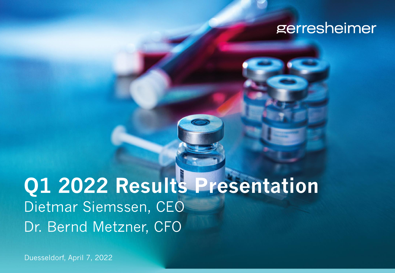## gerresheimer

## **Q1 2022 Results Presentation** Dietmar Siemssen, CEO Dr. Bernd Metzner, CFO

Duesseldorf, April 7, 2022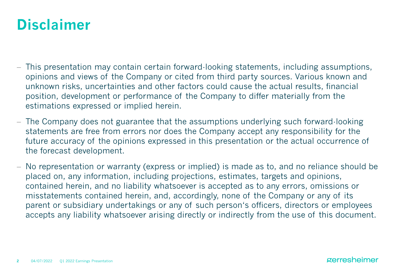## **Disclaimer**

- − This presentation may contain certain forward-looking statements, including assumptions, opinions and views of the Company or cited from third party sources. Various known and unknown risks, uncertainties and other factors could cause the actual results, financial position, development or performance of the Company to differ materially from the estimations expressed or implied herein.
- − The Company does not guarantee that the assumptions underlying such forward-looking statements are free from errors nor does the Company accept any responsibility for the future accuracy of the opinions expressed in this presentation or the actual occurrence of the forecast development.
- − No representation or warranty (express or implied) is made as to, and no reliance should be placed on, any information, including projections, estimates, targets and opinions, contained herein, and no liability whatsoever is accepted as to any errors, omissions or misstatements contained herein, and, accordingly, none of the Company or any of its parent or subsidiary undertakings or any of such person's officers, directors or employees accepts any liability whatsoever arising directly or indirectly from the use of this document.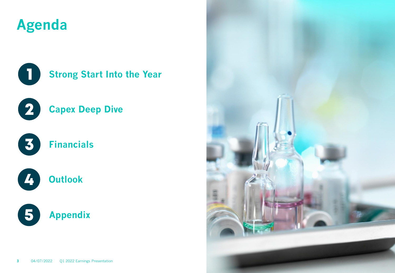## **Agenda**



### **Strong Start Into the Year**



### **Capex Deep Dive**



### 4 **Outlook**



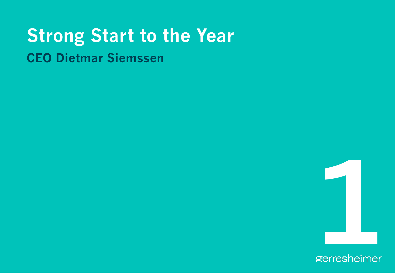## **Strong Start to the Year CEO Dietmar Siemssen**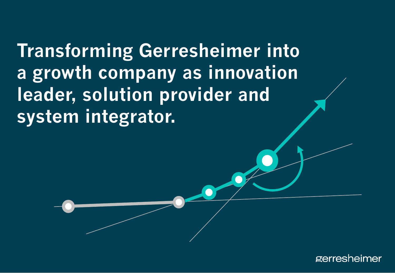**Transforming Gerresheimer into a growth company as innovation leader, solution provider and system integrator.**

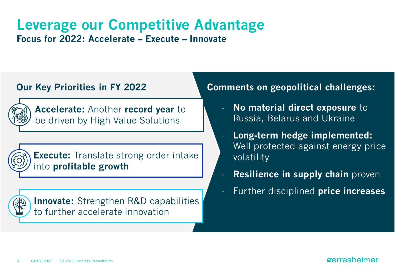## **Leverage our Competitive Advantage Focus for 2022: Accelerate – Execute – Innovate**

### **Our Key Priorities in FY 2022**



**Accelerate:** Another **record year** to be driven by High Value Solutions



**Execute:** Translate strong order intake into **profitable growth**



**Innovate:** Strengthen R&D capabilities to further accelerate innovation

### **Comments on geopolitical challenges:**

- **No material direct exposure to** Russia, Belarus and Ukraine
- **Long-term hedge implemented:**  Well protected against energy price volatility
- **Resilience in supply chain** proven
- Further disciplined **price increases**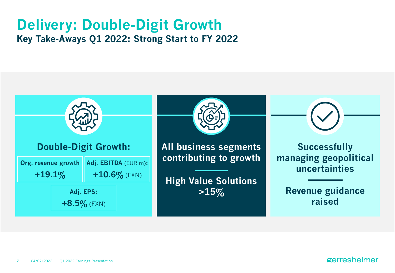## **Delivery: Double-Digit Growth Key Take-Aways Q1 2022: Strong Start to FY 2022**

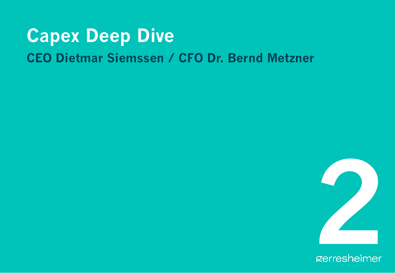## **Capex Deep Dive CEO Dietmar Siemssen / CFO Dr. Bernd Metzner**

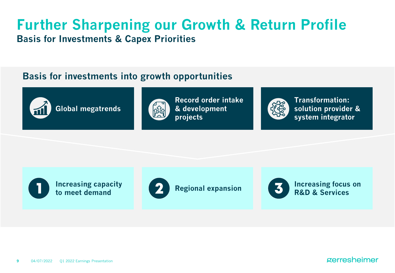## **Further Sharpening our Growth & Return Profile Basis for Investments & Capex Priorities**

### **Basis for investments into growth opportunities**



**Global megatrends**



**Record order intake & development projects**



**Transformation: solution provider & system integrator**

**Increasing capacity to meet demand**





**Regional expansion Increasing focus on R&D & Services**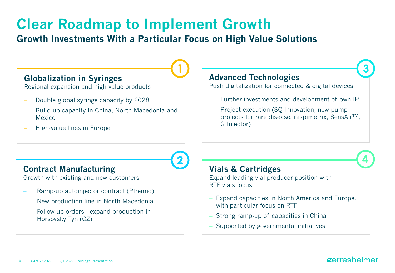## **Clear Roadmap to Implement Growth**

### **Growth Investments With a Particular Focus on High Value Solutions**

### **Globalization in Syringes**

Regional expansion and high-value products

- Double global syringe capacity by 2028
- Build-up capacity in China, North Macedonia and Mexico
- − High-value lines in Europe

### **Advanced Technologies**

Push digitalization for connected & digital devices

- Further investments and development of own IP
- Project execution (SQ Innovation, new pump projects for rare disease, respimetrix, SensAirTM, G Injector)

### **Contract Manufacturing**

Growth with existing and new customers

- Ramp-up autoinjector contract (Pfreimd)
- − New production line in North Macedonia
- Follow-up orders expand production in Horsovsky Tyn (CZ)

### **Vials & Cartridges**

Expand leading vial producer position with RTF vials focus

- Expand capacities in North America and Europe, with particular focus on RTF
- Strong ramp-up of capacities in China
- Supported by governmental initiatives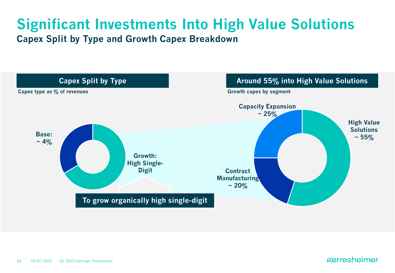## **Significant Investments Into High Value Solutions Capex Split by Type and Growth Capex Breakdown**

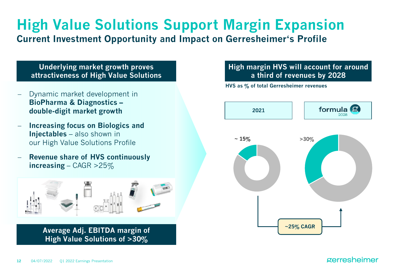### **High Value Solutions Support Margin Expansion Current Investment Opportunity and Impact on Gerresheimer's Profile**

### **Underlying market growth proves attractiveness of High Value Solutions**

- Dynamic market development in **BioPharma & Diagnostics – double-digit market growth**
- − **Increasing focus on Biologics and Injectables** – also shown in our High Value Solutions Profile
- − **Revenue share of HVS continuously increasing** – CAGR >25%

![](_page_11_Picture_5.jpeg)

**Average Adj. EBITDA margin of High Value Solutions of >30%**

### **High margin HVS will account for around a third of revenues by 2028**

**HVS as % of total Gerresheimer revenues**

![](_page_11_Figure_9.jpeg)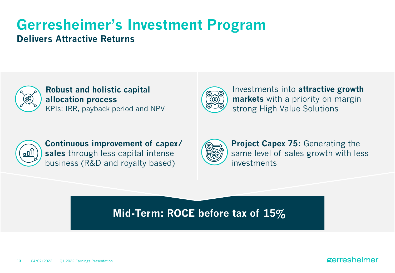### **Gerresheimer's Investment Program Delivers Attractive Returns**

![](_page_12_Picture_1.jpeg)

**Robust and holistic capital allocation process**  KPIs: IRR, payback period and NPV

![](_page_12_Picture_3.jpeg)

Investments into **attractive growth markets** with a priority on margin strong High Value Solutions

![](_page_12_Picture_5.jpeg)

**Continuous improvement of capex/ sales** through less capital intense business (R&D and royalty based)

![](_page_12_Picture_7.jpeg)

**Project Capex 75: Generating the** same level of sales growth with less investments

### **Mid-Term: ROCE before tax of 15%**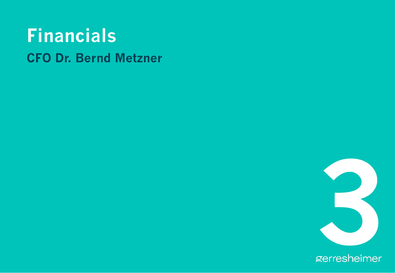## **Financials CFO Dr. Bernd Metzner**

![](_page_13_Picture_1.jpeg)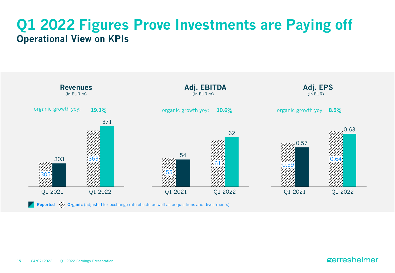## **Q1 2022 Figures Prove Investments are Paying off Operational View on KPIs**

![](_page_14_Figure_1.jpeg)

**Reported** *M*, **Organic** (adjusted for exchange rate effects as well as acquisitions and divestments)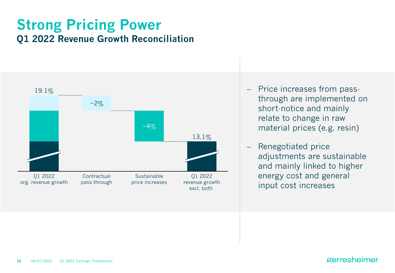## **Strong Pricing Power Q1 2022 Revenue Growth Reconciliation**

![](_page_15_Figure_1.jpeg)

- − Price increases from passthrough are implemented on short-notice and mainly relate to change in raw material prices (e.g. resin)
- − Renegotiated price adjustments are sustainable and mainly linked to higher energy cost and general input cost increases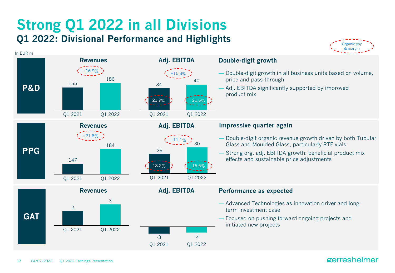## **Strong Q1 2022 in all Divisions Q1 2022: Divisional Performance and Highlights**

![](_page_16_Figure_1.jpeg)

![](_page_16_Figure_2.jpeg)

#### **Double-digit growth**

- Double-digit growth in all business units based on volume, price and pass-through
- Adj. EBITDA significantly supported by improved product mix

#### **Impressive quarter again**

- Double-digit organic revenue growth driven by both Tubular Glass and Moulded Glass, particularly RTF vials
- Strong org. adj. EBITDA growth: beneficial product mix effects and sustainable price adjustments

#### **Performance as expected**

- Advanced Technologies as innovation driver and longterm investment case
- Focused on pushing forward ongoing projects and initiated new projects

#### **17** 04/07/2022 Q1 2022 Earnings Presentation

In EUR m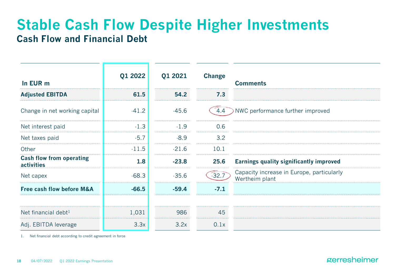## **Stable Cash Flow Despite Higher Investments Cash Flow and Financial Debt**

| In EUR m                                      | Q1 2022 | Q1 2021 | <b>Change</b> | <b>Comments</b>                                             |
|-----------------------------------------------|---------|---------|---------------|-------------------------------------------------------------|
| <b>Adjusted EBITDA</b>                        | 61.5    | 54.2    | 7.3           |                                                             |
| Change in net working capital                 | $-41.2$ | $-45.6$ | 4.4           | NWC performance further improved                            |
| Net interest paid                             | $-1.3$  | $-1.9$  | 0.6           |                                                             |
| Net taxes paid                                | $-5.7$  | $-8.9$  | 3.2           |                                                             |
| Other                                         | $-11.5$ | $-21.6$ | 10.1          |                                                             |
| <b>Cash flow from operating</b><br>activities | 1.8     | $-23.8$ | 25.6          | <b>Earnings quality significantly improved</b>              |
| Net capex                                     | $-68.3$ | $-35.6$ | $-32.7$       | Capacity increase in Europe, particularly<br>Wertheim plant |
| <b>Free cash flow before M&amp;A</b>          | $-66.5$ | $-59.4$ | $-7.1$        |                                                             |
|                                               |         |         |               |                                                             |
| Net financial debt $1$                        | 1,031   | 986     | 45            |                                                             |
| Adj. EBITDA leverage                          | 3.3x    | 3.2x    | 0.1x          |                                                             |

1. Net financial debt according to credit agreement in force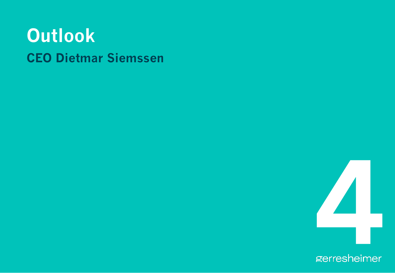## **Outlook CEO Dietmar Siemssen**

![](_page_18_Picture_1.jpeg)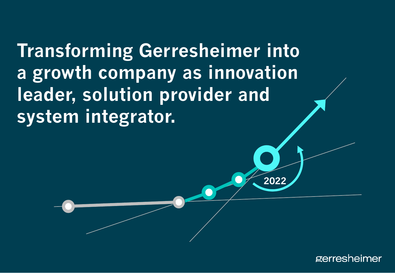**Transforming Gerresheimer into a growth company as innovation leader, solution provider and system integrator.**

![](_page_19_Picture_1.jpeg)

**2022**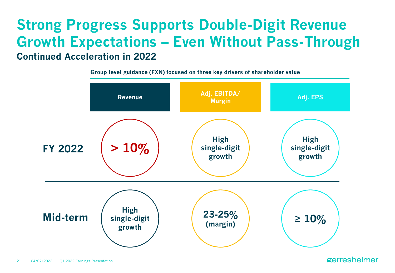## **Strong Progress Supports Double-Digit Revenue Growth Expectations – Even Without Pass-Through Continued Acceleration in 2022**

**Group level guidance (FXN) focused on three key drivers of shareholder value**

![](_page_20_Figure_2.jpeg)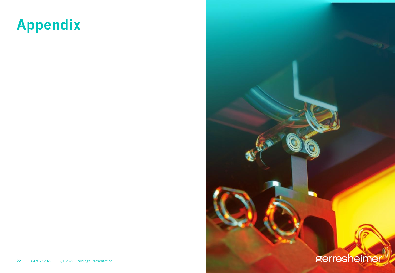## **Appendix**

![](_page_21_Picture_1.jpeg)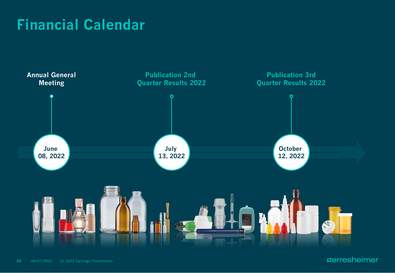## **Financial Calendar**

![](_page_22_Figure_1.jpeg)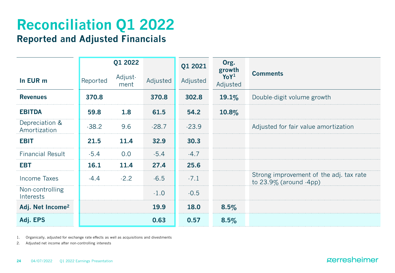### **Reconciliation Q1 2022 Reported and Adjusted Financials**

|                                |          | Q1 2022         |          | Q1 2021  | Org.<br>growth               |                                                                         |
|--------------------------------|----------|-----------------|----------|----------|------------------------------|-------------------------------------------------------------------------|
| In EUR m                       | Reported | Adjust-<br>ment | Adjusted | Adjusted | YoY <sup>1</sup><br>Adjusted | <b>Comments</b>                                                         |
| <b>Revenues</b>                | 370.8    |                 | 370.8    | 302.8    | 19.1%                        | Double-digit volume growth                                              |
| <b>EBITDA</b>                  | 59.8     | 1.8             | 61.5     | 54.2     | $10.8\%$                     |                                                                         |
| Depreciation &<br>Amortization | $-38.2$  | 9.6             | $-28.7$  | $-23.9$  |                              | Adjusted for fair value amortization                                    |
| <b>EBIT</b>                    | 21.5     | 11.4            | 32.9     | 30.3     |                              |                                                                         |
| <b>Financial Result</b>        | $-5.4$   | 0.0             | $-5.4$   | $-4.7$   |                              |                                                                         |
| <b>EBT</b>                     | 16.1     | 11.4            | 27.4     | 25.6     |                              |                                                                         |
| Income Taxes                   | $-4.4$   | $-2.2$          | $-6.5$   | $-7.1$   |                              | Strong improvement of the adj. tax rate<br>to $23.9\%$ (around $-4$ pp) |
| Non-controlling<br>Interests   |          |                 | $-1.0$   | $-0.5$   |                              |                                                                         |
| Adj. Net Income <sup>2</sup>   |          |                 | 19.9     | 18.0     | 8.5%                         |                                                                         |
| Adj. EPS                       |          |                 | 0.63     | 0.57     | 8.5%                         |                                                                         |

1. Organically, adjusted for exchange rate effects as well as acquisitions and divestments

2. Adjusted net income after non-controlling interests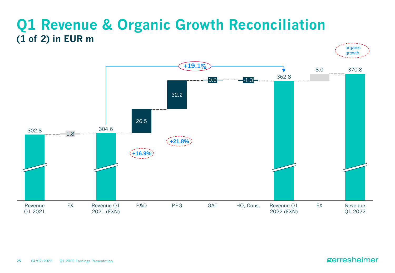## **Q1 Revenue & Organic Growth Reconciliation (1 of 2) in EUR m**

![](_page_24_Figure_1.jpeg)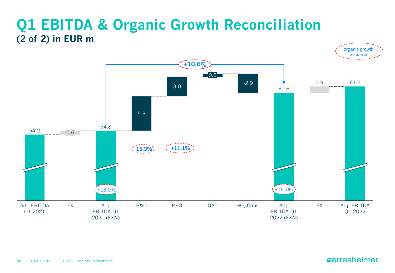## **Q1 EBITDA & Organic Growth Reconciliation (2 of 2) in EUR m**

![](_page_25_Figure_1.jpeg)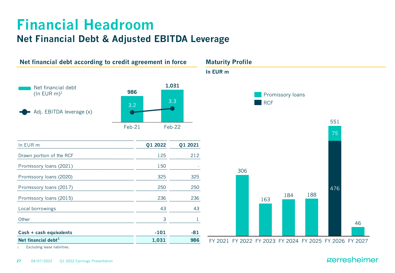### **Financial Headroom Net Financial Debt & Adjusted EBITDA Leverage**

![](_page_26_Figure_1.jpeg)

1. Excluding lease liabilities.